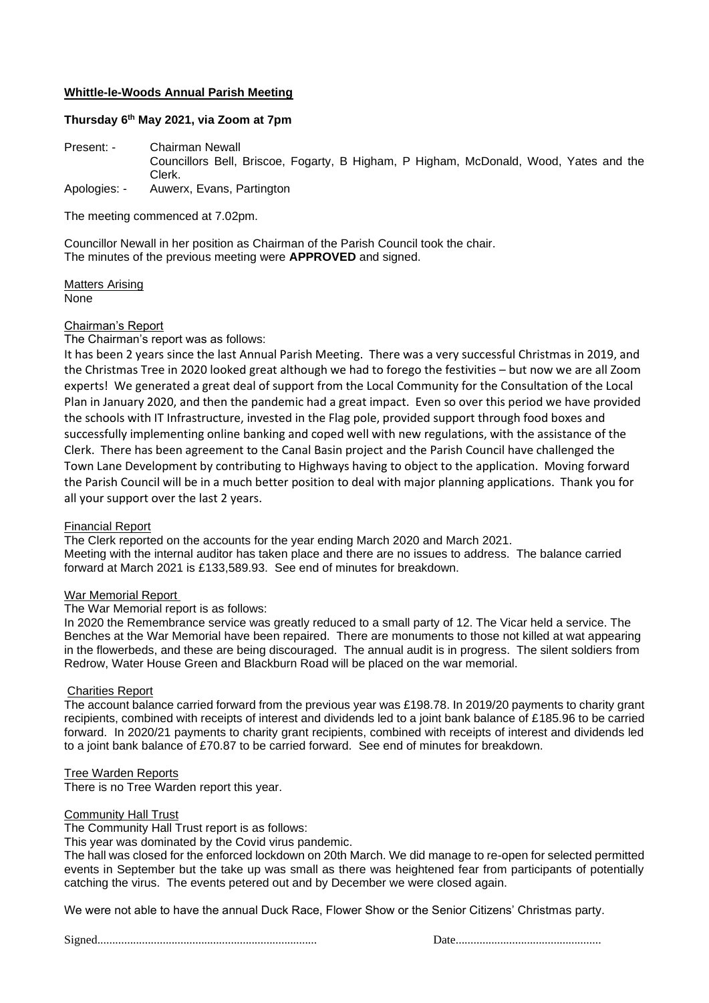### **Whittle-le-Woods Annual Parish Meeting**

#### **Thursday 6 th May 2021, via Zoom at 7pm**

Present: - Chairman Newall Councillors Bell, Briscoe, Fogarty, B Higham, P Higham, McDonald, Wood, Yates and the Clerk. Apologies: - Auwerx, Evans, Partington

The meeting commenced at 7.02pm.

Councillor Newall in her position as Chairman of the Parish Council took the chair. The minutes of the previous meeting were **APPROVED** and signed.

Matters Arising None

### Chairman's Report

The Chairman's report was as follows:

It has been 2 years since the last Annual Parish Meeting. There was a very successful Christmas in 2019, and the Christmas Tree in 2020 looked great although we had to forego the festivities – but now we are all Zoom experts! We generated a great deal of support from the Local Community for the Consultation of the Local Plan in January 2020, and then the pandemic had a great impact. Even so over this period we have provided the schools with IT Infrastructure, invested in the Flag pole, provided support through food boxes and successfully implementing online banking and coped well with new regulations, with the assistance of the Clerk. There has been agreement to the Canal Basin project and the Parish Council have challenged the Town Lane Development by contributing to Highways having to object to the application. Moving forward the Parish Council will be in a much better position to deal with major planning applications. Thank you for all your support over the last 2 years.

#### Financial Report

The Clerk reported on the accounts for the year ending March 2020 and March 2021. Meeting with the internal auditor has taken place and there are no issues to address. The balance carried forward at March 2021 is £133,589.93. See end of minutes for breakdown.

#### War Memorial Report

The War Memorial report is as follows:

In 2020 the Remembrance service was greatly reduced to a small party of 12. The Vicar held a service. The Benches at the War Memorial have been repaired. There are monuments to those not killed at wat appearing in the flowerbeds, and these are being discouraged. The annual audit is in progress. The silent soldiers from Redrow, Water House Green and Blackburn Road will be placed on the war memorial.

#### Charities Report

The account balance carried forward from the previous year was £198.78. In 2019/20 payments to charity grant recipients, combined with receipts of interest and dividends led to a joint bank balance of £185.96 to be carried forward. In 2020/21 payments to charity grant recipients, combined with receipts of interest and dividends led to a joint bank balance of £70.87 to be carried forward. See end of minutes for breakdown.

#### Tree Warden Reports

There is no Tree Warden report this year.

#### Community Hall Trust

The Community Hall Trust report is as follows:

This year was dominated by the Covid virus pandemic.

The hall was closed for the enforced lockdown on 20th March. We did manage to re-open for selected permitted events in September but the take up was small as there was heightened fear from participants of potentially catching the virus. The events petered out and by December we were closed again.

We were not able to have the annual Duck Race, Flower Show or the Senior Citizens' Christmas party.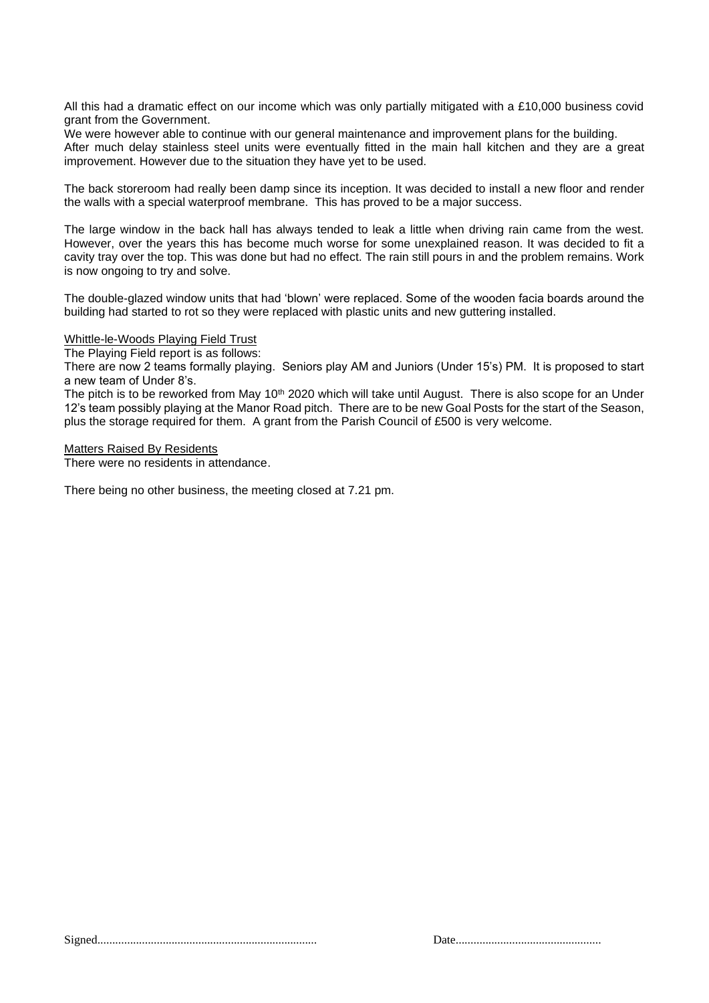All this had a dramatic effect on our income which was only partially mitigated with a £10,000 business covid grant from the Government.

We were however able to continue with our general maintenance and improvement plans for the building. After much delay stainless steel units were eventually fitted in the main hall kitchen and they are a great improvement. However due to the situation they have yet to be used.

The back storeroom had really been damp since its inception. It was decided to install a new floor and render the walls with a special waterproof membrane. This has proved to be a major success.

The large window in the back hall has always tended to leak a little when driving rain came from the west. However, over the years this has become much worse for some unexplained reason. It was decided to fit a cavity tray over the top. This was done but had no effect. The rain still pours in and the problem remains. Work is now ongoing to try and solve.

The double-glazed window units that had 'blown' were replaced. Some of the wooden facia boards around the building had started to rot so they were replaced with plastic units and new guttering installed.

Whittle-le-Woods Playing Field Trust

The Playing Field report is as follows:

There are now 2 teams formally playing. Seniors play AM and Juniors (Under 15's) PM. It is proposed to start a new team of Under 8's.

The pitch is to be reworked from May 10<sup>th</sup> 2020 which will take until August. There is also scope for an Under 12's team possibly playing at the Manor Road pitch. There are to be new Goal Posts for the start of the Season, plus the storage required for them. A grant from the Parish Council of £500 is very welcome.

Matters Raised By Residents

There were no residents in attendance.

There being no other business, the meeting closed at 7.21 pm.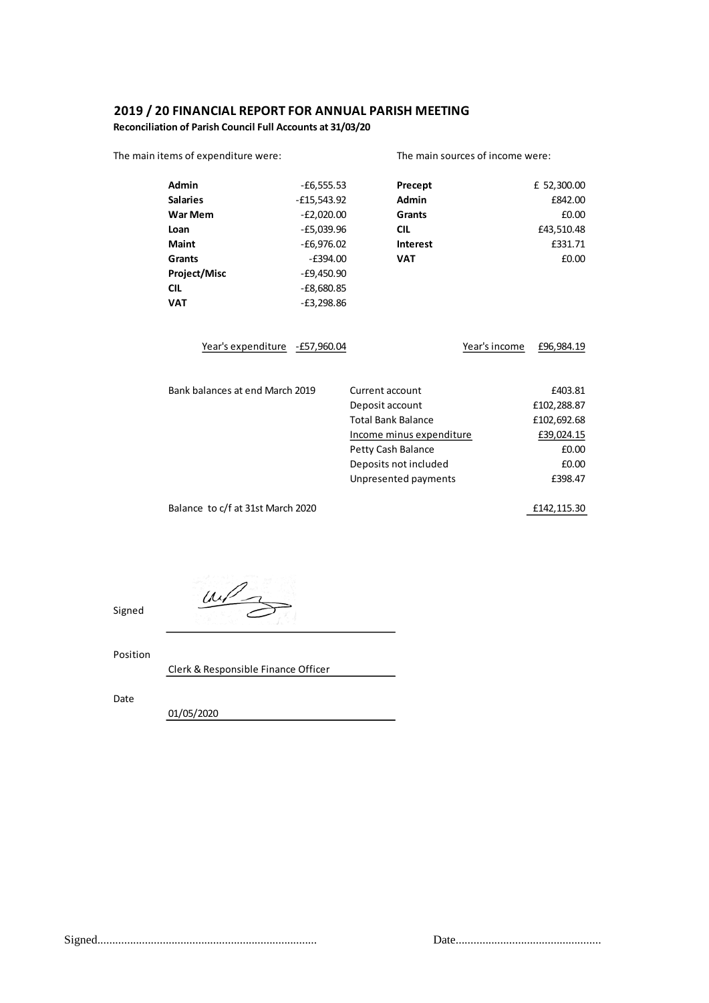## **2019 / 20 FINANCIAL REPORT FOR ANNUAL PARISH MEETING**

**Reconciliation of Parish Council Full Accounts at 31/03/20**

| The main items of expenditure were: |               |                          | The main sources of income were: |               |             |
|-------------------------------------|---------------|--------------------------|----------------------------------|---------------|-------------|
| <b>Admin</b>                        | $-£6,555.53$  |                          | Precept                          |               | £ 52,300.00 |
| <b>Salaries</b>                     | $-E15,543.92$ |                          | <b>Admin</b>                     |               | £842.00     |
| <b>War Mem</b>                      | $-E2,020.00$  |                          | Grants                           |               | £0.00       |
| Loan                                | $-E5,039.96$  |                          | <b>CIL</b>                       |               | £43,510.48  |
| <b>Maint</b>                        | $-E6,976.02$  |                          | Interest                         |               | £331.71     |
| <b>Grants</b>                       | $-E394.00$    |                          | <b>VAT</b>                       |               | £0.00       |
| <b>Project/Misc</b>                 | $-E9,450.90$  |                          |                                  |               |             |
| <b>CIL</b>                          | $-E8,680.85$  |                          |                                  |               |             |
| <b>VAT</b>                          | $-E3,298.86$  |                          |                                  |               |             |
| Year's expenditure - £57,960.04     |               |                          |                                  | Year's income | £96,984.19  |
| Bank balances at end March 2019     |               | Current account          |                                  |               | £403.81     |
|                                     |               | Deposit account          |                                  |               | £102,288.87 |
|                                     |               |                          | <b>Total Bank Balance</b>        |               | £102,692.68 |
|                                     |               | Income minus expenditure |                                  |               | £39,024.15  |
|                                     |               | Petty Cash Balance       |                                  |               | £0.00       |
|                                     |               |                          | Deposits not included            |               | £0.00       |
|                                     |               |                          | Unpresented payments             |               | £398.47     |
| Balance to c/f at 31st March 2020   |               |                          |                                  |               | £142,115.30 |

 $u\sqrt{2}$ 

Position

Signed

Clerk & Responsible Finance Officer

Date

01/05/2020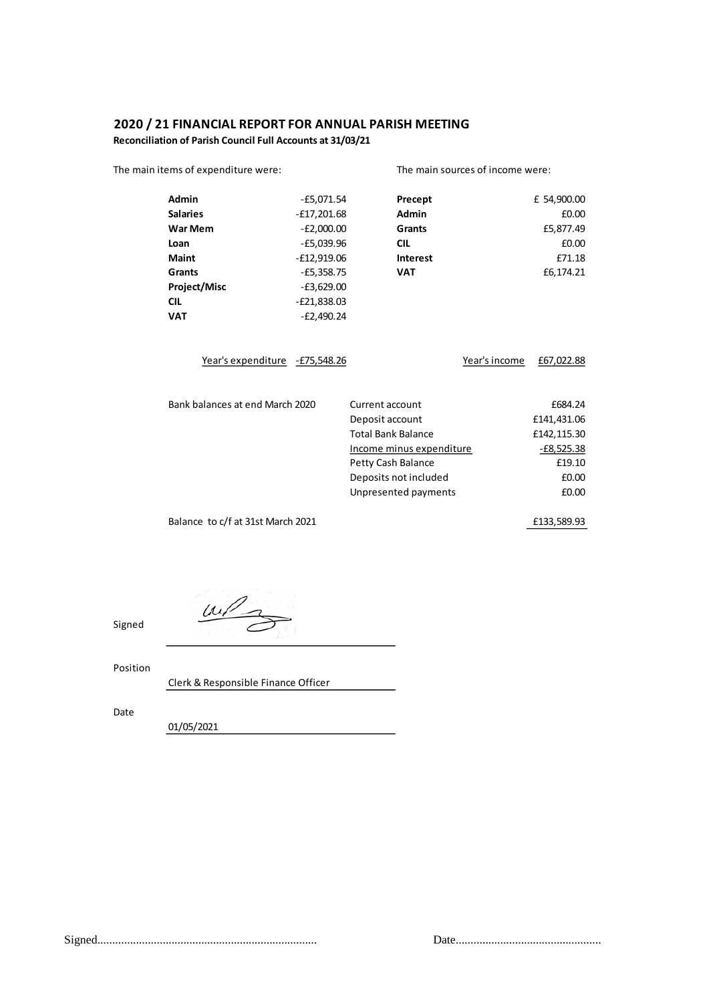# **2020 / 21 FINANCIAL REPORT FOR ANNUAL PARISH MEETING**

**Reconciliation of Parish Council Full Accounts at 31/03/21**

| The main items of expenditure were: |               |                           | The main sources of income were: |              |  |
|-------------------------------------|---------------|---------------------------|----------------------------------|--------------|--|
| Admin                               | $-E5,071.54$  | Precept                   |                                  | £ 54,900.00  |  |
| <b>Salaries</b>                     | $-E17,201.68$ | Admin                     |                                  | £0.00        |  |
| War Mem                             | $-E2,000.00$  | <b>Grants</b>             |                                  | £5,877.49    |  |
| Loan                                | $-E5,039.96$  | <b>CIL</b>                |                                  | £0.00        |  |
| <b>Maint</b>                        | $-E12,919.06$ | <b>Interest</b>           |                                  | £71.18       |  |
| <b>Grants</b>                       | $-E5,358.75$  | <b>VAT</b>                |                                  | £6,174.21    |  |
| Project/Misc                        | $-E3,629.00$  |                           |                                  |              |  |
| <b>CIL</b>                          | $-E21,838.03$ |                           |                                  |              |  |
| <b>VAT</b>                          | $-E2,490.24$  |                           |                                  |              |  |
| Year's expenditure - £75,548.26     |               |                           | Year's income                    | £67,022.88   |  |
| Bank balances at end March 2020     |               | Current account           |                                  | £684.24      |  |
|                                     |               | Deposit account           |                                  | £141,431.06  |  |
|                                     |               | <b>Total Bank Balance</b> |                                  | £142,115.30  |  |
|                                     |               | Income minus expenditure  |                                  | $-E8,525.38$ |  |
|                                     |               | Petty Cash Balance        |                                  | £19.10       |  |
|                                     |               | Deposits not included     |                                  | £0.00        |  |
|                                     |               | Unpresented payments      |                                  | £0.00        |  |
| Balance to c/f at 31st March 2021   |               |                           |                                  | £133,589.93  |  |

 $\frac{m}{3}$ 

Position

Signed

Clerk & Responsible Finance Officer

Date

01/05/2021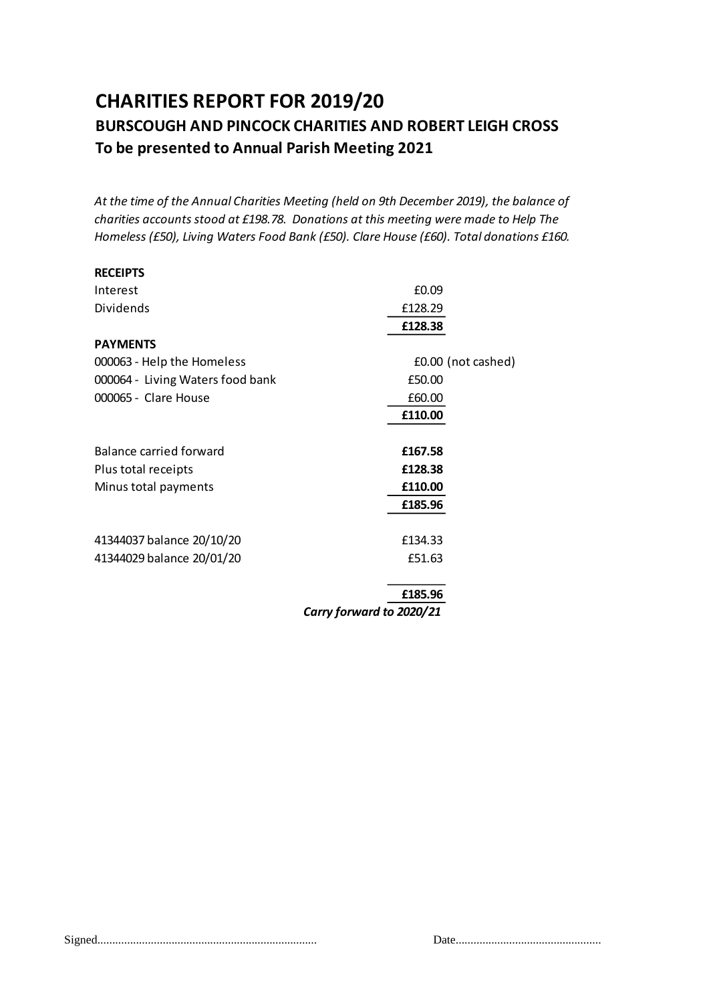# **CHARITIES REPORT FOR 2019/20 BURSCOUGH AND PINCOCK CHARITIES AND ROBERT LEIGH CROSS To be presented to Annual Parish Meeting 2021**

*At the time of the Annual Charities Meeting (held on 9th December 2019), the balance of charities accounts stood at £198.78. Donations at this meeting were made to Help The Homeless (£50), Living Waters Food Bank (£50). Clare House (£60). Total donations £160.* 

| <b>RECEIPTS</b>                  |                    |  |
|----------------------------------|--------------------|--|
| Interest                         | £0.09              |  |
| Dividends                        | £128.29            |  |
|                                  | £128.38            |  |
| <b>PAYMENTS</b>                  |                    |  |
| 000063 - Help the Homeless       | £0.00 (not cashed) |  |
| 000064 - Living Waters food bank | £50.00             |  |
| 000065 - Clare House             | £60.00             |  |
|                                  | £110.00            |  |
|                                  |                    |  |
| Balance carried forward          | £167.58            |  |
| Plus total receipts              | £128.38            |  |
| Minus total payments             | £110.00            |  |
|                                  | £185.96            |  |
|                                  |                    |  |
| 41344037 balance 20/10/20        | £134.33            |  |
| 41344029 balance 20/01/20        | £51.63             |  |
|                                  |                    |  |

**£185.96**

*Carry forward to 2020/21*